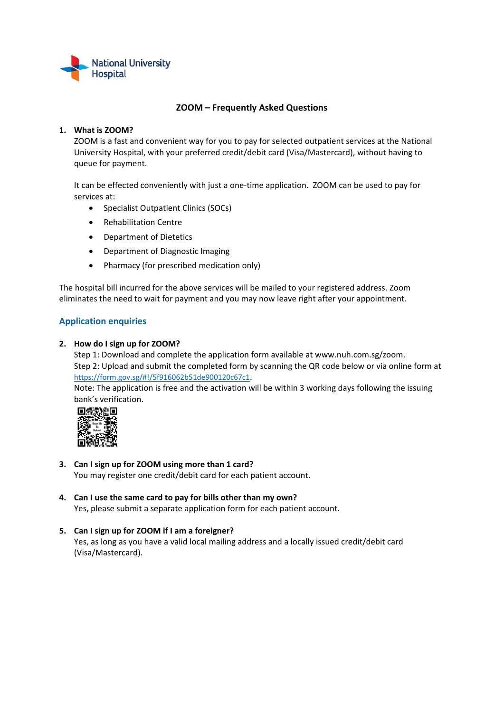

# **ZOOM – Frequently Asked Questions**

### **1. What is ZOOM?**

ZOOM is a fast and convenient way for you to pay for selected outpatient services at the National University Hospital, with your preferred credit/debit card (Visa/Mastercard), without having to queue for payment.

It can be effected conveniently with just a one‐time application. ZOOM can be used to pay for services at:

- Specialist Outpatient Clinics (SOCs)
- Rehabilitation Centre
- Department of Dietetics
- Department of Diagnostic Imaging
- Pharmacy (for prescribed medication only)

The hospital bill incurred for the above services will be mailed to your registered address. Zoom eliminates the need to wait for payment and you may now leave right after your appointment.

# **Application enquiries**

#### **2. How do I sign up for ZOOM?**

Step 1: Download and complete the application form available at www.nuh.com.sg/zoom. Step 2: Upload and submit the completed form by scanning the QR code below or via online form at https://form.gov.sg/#!/5f916062b51de900120c67c1.

Note: The application is free and the activation will be within 3 working days following the issuing bank's verification.



- **3. Can I sign up for ZOOM using more than 1 card?** You may register one credit/debit card for each patient account.
- **4. Can I use the same card to pay for bills other than my own?** Yes, please submit a separate application form for each patient account.

## **5. Can I sign up for ZOOM if I am a foreigner?** Yes, as long as you have a valid local mailing address and a locally issued credit/debit card (Visa/Mastercard).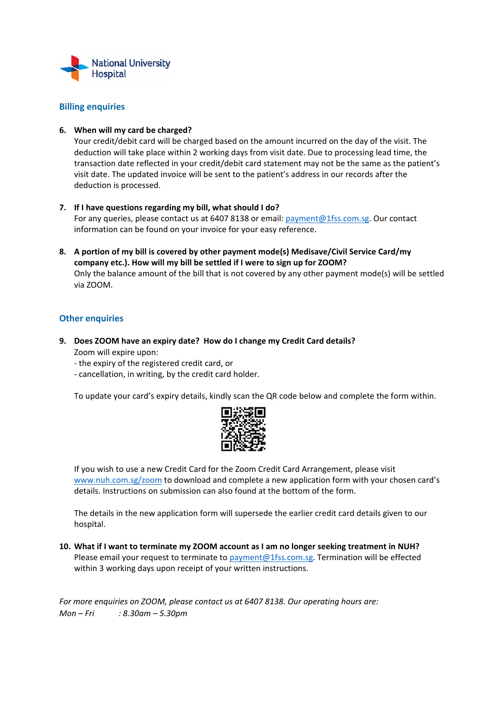

## **Billing enquiries**

### **6. When will my card be charged?**

Your credit/debit card will be charged based on the amount incurred on the day of the visit. The deduction will take place within 2 working days from visit date. Due to processing lead time, the transaction date reflected in your credit/debit card statement may not be the same as the patient's visit date. The updated invoice will be sent to the patient's address in our records after the deduction is processed.

- **7. If I have questions regarding my bill, what should I do?**  For any queries, please contact us at 6407 8138 or email: payment@1fss.com.sg. Our contact information can be found on your invoice for your easy reference.
- **8. A portion of my bill is covered by other payment mode(s) Medisave/Civil Service Card/my company etc.). How will my bill be settled if I were to sign up for ZOOM?**  Only the balance amount of the bill that is not covered by any other payment mode(s) will be settled via ZOOM.

# **Other enquiries**

- **9. Does ZOOM have an expiry date? How do I change my Credit Card details?** Zoom will expire upon:
	- ‐ the expiry of the registered credit card, or
	- ‐ cancellation, in writing, by the credit card holder.

To update your card's expiry details, kindly scan the QR code below and complete the form within.



If you wish to use a new Credit Card for the Zoom Credit Card Arrangement, please visit www.nuh.com.sg/zoom to download and complete a new application form with your chosen card's details. Instructions on submission can also found at the bottom of the form.

The details in the new application form will supersede the earlier credit card details given to our hospital.

**10. What if I want to terminate my ZOOM account as I am no longer seeking treatment in NUH?** Please email your request to terminate to payment@1fss.com.sg. Termination will be effected within 3 working days upon receipt of your written instructions.

*For more enquiries on ZOOM, please contact us at 6407 8138. Our operating hours are: Mon – Fri : 8.30am – 5.30pm*